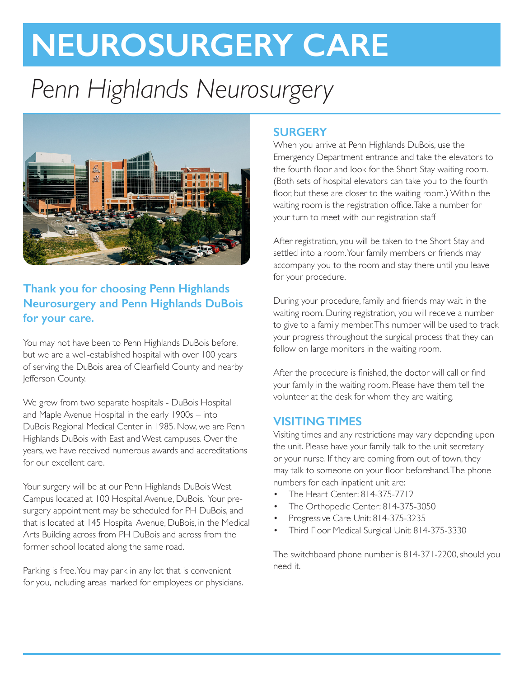# **NEUROSURGERY CARE**

# *Penn Highlands Neurosurgery*



# **Thank you for choosing Penn Highlands Neurosurgery and Penn Highlands DuBois for your care.**

You may not have been to Penn Highlands DuBois before, but we are a well-established hospital with over 100 years of serving the DuBois area of Clearfield County and nearby Jefferson County.

We grew from two separate hospitals - DuBois Hospital and Maple Avenue Hospital in the early 1900s – into DuBois Regional Medical Center in 1985. Now, we are Penn Highlands DuBois with East and West campuses. Over the years, we have received numerous awards and accreditations for our excellent care.

Your surgery will be at our Penn Highlands DuBois West Campus located at 100 Hospital Avenue, DuBois. Your presurgery appointment may be scheduled for PH DuBois, and that is located at 145 Hospital Avenue, DuBois, in the Medical Arts Building across from PH DuBois and across from the former school located along the same road.

Parking is free. You may park in any lot that is convenient for you, including areas marked for employees or physicians.

# **SURGERY**

When you arrive at Penn Highlands DuBois, use the Emergency Department entrance and take the elevators to the fourth floor and look for the Short Stay waiting room. (Both sets of hospital elevators can take you to the fourth floor, but these are closer to the waiting room.) Within the waiting room is the registration office. Take a number for your turn to meet with our registration staff

After registration, you will be taken to the Short Stay and settled into a room. Your family members or friends may accompany you to the room and stay there until you leave for your procedure.

During your procedure, family and friends may wait in the waiting room. During registration, you will receive a number to give to a family member. This number will be used to track your progress throughout the surgical process that they can follow on large monitors in the waiting room.

After the procedure is finished, the doctor will call or find your family in the waiting room. Please have them tell the volunteer at the desk for whom they are waiting.

#### **VISITING TIMES**

Visiting times and any restrictions may vary depending upon the unit. Please have your family talk to the unit secretary or your nurse. If they are coming from out of town, they may talk to someone on your floor beforehand. The phone numbers for each inpatient unit are:

- The Heart Center: 814-375-7712
- The Orthopedic Center: 814-375-3050
- Progressive Care Unit: 814-375-3235
- Third Floor Medical Surgical Unit: 814-375-3330

The switchboard phone number is 814-371-2200, should you need it.